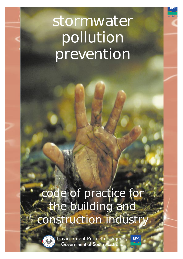# stormwater **pollution prevention**

# **code of practice for the building and construction industry**



**Environment Protection Agency** EPA Government of South Australia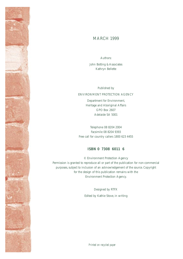## MARCH 1999

Authors: John Botting & Associates Kathryn Bellette

Published by

#### ENVIRONMENT PROTECTION AGENCY

Department for Environment, Heritage and Aboriginal Affairs GPO Box 2607 Adelaide SA 5001

Telephone 08 8204 2004 Facsimile 08 8204 9393 Free call for country callers 1800 623 4455

#### **ISBN 0 7308 6011 6**

© Environment Protection Agency Permission is granted to reproduce all or part of the publication for non-commercial purposes, subject to inclusion of an acknowledgement of the source. Copyright for the design of this publication remains with the Environment Protection Agency.

> Designed by RTFX Edited by Kathie Stove, in writing

*Printed on recycled paper*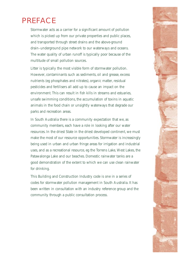## PREFACE

Stormwater acts as a carrier for a significant amount of pollution which is picked up from our private properties and public places, and transported through street drains and the above-ground drain–underground pipe network to our waterways and oceans. The water quality of urban runoff is typically poor because of the multitude of small pollution sources.

Litter is typically the most visible form of stormwater pollution. However, contaminants such as sediments, oil and grease, excess nutrients (eg phosphates and nitrates), organic matter, residual pesticides and fertilisers all add up to cause an impact on the environment. This can result in fish kills in streams and estuaries, unsafe swimming conditions, the accumulation of toxins in aquatic animals in the food chain or unsightly waterways that degrade our parks and recreation areas.

In South Australia there is a community expectation that we, as community members, each have a role in looking after our water resources. In the driest State in the driest developed continent, we must make the most of our resource opportunities. Stormwater is increasingly being used in urban and urban fringe areas for irrigation and industrial uses, and as a recreational resource, eg the Torrens Lake, West Lakes, the Patawalonga Lake and our beaches. Domestic rainwater tanks are a good demonstration of the extent to which we can use clean rainwater for drinking.

This Building and Construction Industry code is one in a series of codes for stormwater pollution management in South Australia. It has been written in consultation with an industry reference group and the community through a public consultation process.

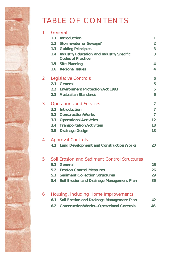## TABLE OF CONTENTS

| 1 | General                                                                             |                |  |  |  |  |
|---|-------------------------------------------------------------------------------------|----------------|--|--|--|--|
|   | 1.1<br><b>Introduction</b>                                                          | 1              |  |  |  |  |
|   | 1.2 Stormwater or Sewage?                                                           | $\overline{2}$ |  |  |  |  |
|   | 1.3<br><b>Guiding Principles</b>                                                    | 3              |  |  |  |  |
|   | <b>Industry Education, and Industry Specific</b><br>1.4<br><b>Codes of Practice</b> | 3              |  |  |  |  |
|   | 1.5 Site Planning                                                                   | 4              |  |  |  |  |
|   | <b>Regional Issues</b><br>1.6                                                       | 4              |  |  |  |  |
| 2 | Legislative Controls                                                                | 5              |  |  |  |  |
|   | 2.1<br><b>General</b>                                                               | 5              |  |  |  |  |
|   | 2.2 Environment Protection Act 1993                                                 | 5              |  |  |  |  |
|   | 2.3 Australian Standards                                                            | 6              |  |  |  |  |
| 3 | <b>Operations and Services</b>                                                      | $\overline{7}$ |  |  |  |  |
|   | <b>Introduction</b><br>3.1                                                          | $\overline{7}$ |  |  |  |  |
|   | 3.2 Construction Works                                                              | $\overline{7}$ |  |  |  |  |
|   | 3.3 Operational Activities                                                          | 12             |  |  |  |  |
|   | 3.4 Transportation Activities                                                       | 18             |  |  |  |  |
|   | 3.5 Drainage Design                                                                 | 18             |  |  |  |  |
| 4 | <b>Approval Controls</b>                                                            |                |  |  |  |  |
|   | <b>Land Development and Construction Works</b><br>4.1                               | 20             |  |  |  |  |
| 5 | Soil Erosion and Sediment Control Structures                                        |                |  |  |  |  |
|   | 5.1<br><b>General</b>                                                               | 26             |  |  |  |  |
|   | <b>Erosion Control Measures</b><br>5.2                                              | 26             |  |  |  |  |
|   | 5.3<br><b>Sediment Collection Structures</b>                                        | 29             |  |  |  |  |
|   | 5.4<br>Soil Erosion and Drainage Management Plan                                    | 36             |  |  |  |  |
| 6 | Housing, including Home Improvements                                                |                |  |  |  |  |
|   | Soil Erosion and Drainage Management Plan<br>6.1                                    | 42             |  |  |  |  |
|   | <b>Construction Works-Operational Controls</b><br>6.2                               | 46             |  |  |  |  |
|   |                                                                                     |                |  |  |  |  |
|   |                                                                                     |                |  |  |  |  |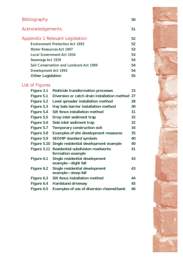| <b>Bibliography</b>                     | 50 |
|-----------------------------------------|----|
| Acknowledgements                        | 51 |
| Appendix 1 Relevant Legislation         | 52 |
| <b>Environment Protection Act 1993</b>  | 52 |
| <b>Water Resources Act 1997</b>         | 53 |
| <b>Local Government Act 1934</b>        | 53 |
| Sewerage Act 1929                       | 54 |
| Soil Conservation and Landcare Act 1989 | 54 |
| <b>Development Act 1993</b>             | 54 |
| <b>Other Legislation</b>                | 55 |

## **List of Figures**

| Figure 3.1  | <b>Pesticide transformation processes</b>                     | 15 |
|-------------|---------------------------------------------------------------|----|
| Figure 5.1  | Diversion or catch drain installation method 27               |    |
| Figure 5.2  | Level spreader installation method                            | 28 |
| Figure 5.3  | Hay bale barrier installation method                          | 30 |
| Figure 5.4  | Silt fence installation method                                | 31 |
| Figure 5.5  | Drop inlet sediment trap                                      | 32 |
| Figure 5.6  | Side inlet sediment trap                                      | 32 |
| Figure 5.7  | <b>Temporary construction exit</b>                            | 34 |
| Figure 5.8  | <b>Examples of site development measures</b>                  | 35 |
| Figure 5.9  | <b>SEDMP standard symbols</b>                                 | 40 |
| Figure 5.10 | Single residential development example                        | 40 |
| Figure 5.11 | <b>Residential subdivision roadworks</b><br>formation example | 41 |
| Figure 6.1  | Single residential development<br>example-slight fall         | 43 |
| Figure 6.2  | Single residential development<br>example-steep fall          | 43 |
| Figure 6.3  | Silt fence installation method                                | 44 |
| Figure 6.4  | <b>Hardstand driveway</b>                                     | 45 |
| Figure 6.5  | <b>Examples of use of diversion channel/bank</b>              | 46 |

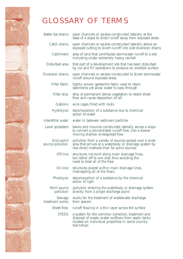## GLOSSARY OF TERMS

| Batter toe drains             | open channels or swales constructed laterally at the<br>base of a slope to direct runoff away from exposed areas                                                         |
|-------------------------------|--------------------------------------------------------------------------------------------------------------------------------------------------------------------------|
| Catch drains                  | open channels or swales constructed laterally above an<br>exposed cutting to divert runoff into side diversion drains                                                    |
| Catchment                     | area of land that contributes stormwater runoff to a site<br>including under extremely heavy rainfall                                                                    |
| Disturbed area                | that part of a development site that has been disturbed<br>by cut and fill operations to produce an erodible surface                                                     |
| Diversion drains              | open channels or swales constructed to divert stormwater<br>runoff around exposed areas                                                                                  |
| Filter fabric                 | tightly woven geotextile fabric used to retain<br>sediments yet allow water to pass through                                                                              |
| Filter strip                  | strip of permanent dense vegetation to retard sheet<br>flow and cause deposition of silt                                                                                 |
| Gabions                       | wire cages filled with rocks                                                                                                                                             |
| <b>Hydrolysis</b>             | decomposition of a substance due to chemical<br>action of water                                                                                                          |
| Interstitial water            | water in between sediment particles                                                                                                                                      |
| Level spreaders               | banks and mounds constructed laterally across a slope<br>to convert a concentrated runoff flow into a slower<br>moving shallow widespread flow                           |
| Non-point<br>source pollution | pollution from a variety of sources spread over a wide<br>area that arrives at a waterbody or drainage system by<br>less direct methods than for point sources           |
| Off-line                      | structures not built along main drainage lines,<br>but rather off to one side, thus avoiding the<br>need to treat all of the flow                                        |
| On-line                       | structures placed within main drainage lines,<br>intercepting all of the flows                                                                                           |
| Photolysis                    | decomposition of a substance by the chemical<br>action of light                                                                                                          |
| Point source<br>pollution     | pollution entering the waterbody or drainage system<br>directly from a single discharge point                                                                            |
| Sewage<br>treatment works     | works for the treatment of wastewater discharge<br>from sewers                                                                                                           |
| Sheet flow                    | runoff flowing in a thin layer across the surface                                                                                                                        |
| <b>STEDS</b>                  | a system for the common collection, treatment and<br>disposal of waste–water outflows from septic tanks<br>located on individual properties in some country<br>townships |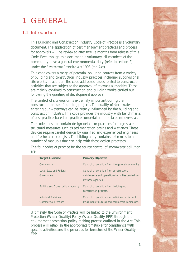## <span id="page-6-0"></span>1 GENERAL

## **1.1 Introduction**

This Building and Construction Industry Code of Practice is a voluntary document. The application of best management practices and process for approvals will be reviewed after twelve months from release of this Code. Even though this document is voluntary, all members of the community have a general environmental duty (refer to section 2) under the *Environment Protection Act* 1993 (the Act).

This code covers a range of potential pollution sources from a variety of building and construction industry practices including subdivisional site works. In addition, the code addresses issues related to construction activities that are subject to the approval of relevant authorities. These are mainly confined to construction and building works carried out following the granting of development approval.

The control of site erosion is extremely important during the construction phase of building projects. The quality of stormwater entering our waterways can be greatly influenced by the building and construction industry. This code provides the industry with benchmarks of best practice, based on practices undertaken interstate and overseas.

The code does not contain design details or practices for large scale structural measures such as sedimentation basins and wetlands. These devices require careful design by qualified and experienced engineers and freshwater ecologists. The bibliography contains references to a number of manuals that can help with these design processes.

| <b>Target Audience</b>                               | <b>Primary Objective</b>                                                                                            |
|------------------------------------------------------|---------------------------------------------------------------------------------------------------------------------|
| Community                                            | Control of pollution from the general community.                                                                    |
| Local, State and Federal<br>Government               | Control of pollution from construction,<br>maintenance and operational activities carried out<br>by these agencies. |
| <b>Building and Construction Industry</b>            | Control of pollution from building and<br>construction projects.                                                    |
| Industrial, Retail and<br><b>Commercial Premises</b> | Control of pollution from activities carried out<br>by all industrial, retail and commercial businesses.            |

The four codes of practice for the source control of stormwater pollution are:

Ultimately the Code of Practice will be linked to the Environment Protection (Water Quality) Policy (Water Quality EPP) through the environment protection policy-making process outlined in the Act. This process will establish the appropriate timetable for compliance with specific activities and the penalties for breaches of the Water Quality EPP.

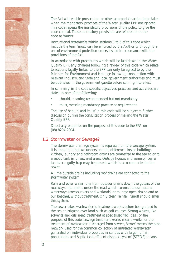The Act will enable prosecution or other appropriate action to be taken when the mandatory practices of the Water Quality EPP are ignored. This code repeats the mandatory provisions of the policy to give the code context. These mandatory provisions are referred to in the code as 'musts'*.* 

Instructional statements within sections 3 to 6 of this code which include the term 'must' can be enforced by the Authority through the use of environment protection orders issued in accordance with the provisions of the Act.

In accordance with procedures which will be laid down in the Water Quality EPP, any changes following a review of this code which relate to sections legally linked to the EPP can only be agreed to by the Minister for Environment and Heritage following consultation with relevant industry, and State and local government authorities and must be published in the government gazette before coming into effect.

In summary, in the code specific objectives, practices and activities are stated as one of the following:

- should, meaning recommended but not mandatory
- must, meaning mandatory practice or requirement.

The use of 'should' and 'must' in this code will be subject to further discussion during the consultation process of making the Water Quality EPP.

Direct any enquiries on the purpose of this code to the EPA on (08) 8204 2004.

## **1.2 Stormwater or Sewage?**

The stormwater drainage system is separate from the sewage system. It is important that we understand the difference. Inside buildings, kitchen, laundry and bathroom drains are connected to the sewer, or to a septic tank in unsewered areas. Outside houses and some offices, a tap over a gully trap may be present which is also connected to the sewer.

All the outside drains including roof drains are connected to the stormwater system.

Rain and other water runs from outdoor drains down the gutters of the roadways into drains under the road which connect to our natural waterways (creeks, rivers and wetlands) or to large open drains and to our beaches, without treatment. Only clean rainfall runoff should enter this system.

The sewer takes wastewater to treatment works, before being piped to the sea or irrigated over land such as golf courses. Strong wastes, like solvents and oils, need treatment at specialised facilities. For the purpose of this code, 'sewage treatment works' means works for the treatment of wastewater discharged from sewers, 'sewer' means the pipe network used for the common collection of untreated wastewater generated on individual properties in centres with large human populations and 'septic tank effluent disposal system' (STEDS) means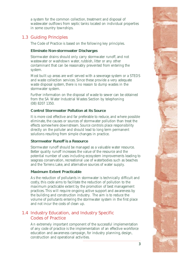a system for the common collection, treatment and disposal of wastewater outflows from septic tanks located on individual properties in some country townships.

## **1.3 Guiding Principles**

The Code of Practice is based on the following key principles.

## **Eliminate Non-stormwater Discharges**

Stormwater drains should only carry stormwater runoff, and not wastewater or washdown water, rubbish, litter or any other contaminant that can be reasonably prevented from entering the system.

Most built up areas are well served with a sewerage system or a STEDS and waste collection services. Since these provide a very adequate waste disposal system, there is no reason to dump wastes in the stormwater system.

Further information on the disposal of waste to sewer can be obtained from the SA Water Industrial Wastes Section by telephoning (08) 8207 1350.

## **Control Stormwater Pollution at its Source**

It is more cost effective and far preferable to reduce, and where possible eliminate, the causes or sources of stormwater pollution than treat the effects somewhere downstream. Source controls place responsibility directly on the polluter and should lead to long term permanent solutions resulting from simple changes in practice.

## **Stormwater Runoff is a Resource**

Stormwater runoff should be managed as a valuable water resource. Better quality runoff increases the value of the resource and the potential number of uses including ecosystem improvements leading to seagrass conservation, recreational use of waterbodies such as beaches and the Torrens Lake, and alternative sources of water supply.

## **Maximum Extent Practicable**

As the reduction of pollutants in stormwater is technically difficult and costly, this code aims to facilitate the reduction of pollution to the maximum practicable extent by the promotion of best management practices. This will require ongoing active support and awareness by the building and construction industry. The aim is to reduce the volume of pollutants entering the stormwater system in the first place and not incur the costs of clean up.

## **1.4 Industry Education, and Industry Specific Codes of Practice**

An extremely important component of the successful implementation of any code of practice is the implementation of an effective workforce education and awareness campaign, for industry planning, design, construction and operational activities.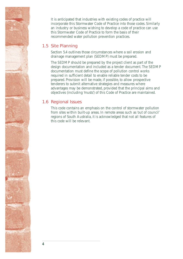It is anticipated that industries with existing codes of practice will incorporate this Stormwater Code of Practice into those codes. Similarly an industry or business wishing to develop a code of practice can use this Stormwater Code of Practice to form the basis of their recommended water pollution prevention practices.

## **1.5 Site Planning**

Section 5.4 outlines those circumstances where a soil erosion and drainage management plan (SEDMP) must be prepared.

The SEDMP should be prepared by the project client as part of the design documentation and included as a tender document. The SEDMP documentation must define the scope of pollution control works required in sufficient detail to enable reliable tender costs to be prepared. Provision will be made, if possible, to allow prospective tenderers to submit alternative strategies and measures where advantages may be demonstrated, provided that the principal aims and objectives (including 'musts') of this Code of Practice are maintained.

## **1.6 Regional Issues**

This code contains an emphasis on the control of stormwater pollution from sites within built-up areas. In remote areas such as 'out of council' regions of South Australia, it is acknowledged that not all features of this code will be relevant.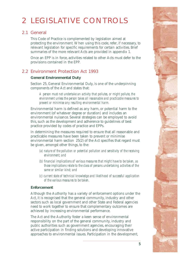## <span id="page-10-0"></span>2 LEGISLATIVE CONTROLS

## **2.1 General**

This Code of Practice is complemented by legislation aimed at protecting the environment. When using this code, refer, if necessary, to relevant legislation for specific requirements for certain activities. Brief summaries of the more relevant Acts are provided in appendix 1.

Once an EPP is in force, activities related to other Acts must defer to the provisions contained in the EPP.

## **2.2 Environment Protection Act 1993**

## **General Environmental Duty**

Section 25, General Environmental Duty, is one of the underpinning components of the Act and states that:

*A person must not undertake an activity that pollutes, or might pollute, the environment unless the person takes all reasonable and practicable measures to prevent or minimise any resulting environmental harm.* 

Environmental harm is defined as any harm, or potential harm to the environment (of whatever degree or duration) and includes an environmental nuisance. Several strategies can be employed to avoid this, such as the development and adherence to guidelines of best practice provided by codes of practice and EPPs.

In determining the measures required to ensure that all reasonable and practicable measures have been taken to prevent or minimise environmental harm section 25(2) of the Act specifies that regard must be given, amongst other things, to the:

- *(a) nature of the pollution or potential pollution and sensitivity of the receiving environment; and*
- *(b) financial implications of various measures that might have to be taken, as those implications relate to the class of persons undertaking activities of the same or similar kind; and*
- *(c) current state of technical knowledge and likelihood of successful application of the various measures to be taken.*

## **Enforcement**

Although the Authority has a variety of enforcement options under the Act, it is recognised that the general community, industry and other sectors such as local government and other State and Federal agencies need to work together to ensure that complementary outcomes are achieved by increasing environmental performance.

The Act and the Authority foster a keen sense of environmental responsibility on the part of the general community, industry and public authorities such as government agencies, encouraging their active participation in finding solutions and developing innovative approaches to environmental issues. Participation in the development,

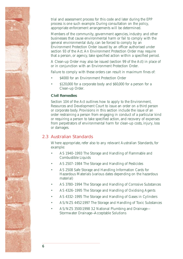trial and assessment process for this code and later during the EPP process is one such example. During consultation on the policy, appropriate enforcement arrangements will be determined.

Members of the community, government agencies, industry and other businesses that cause environmental harm or fail to comply with the general environmental duty, can be forced to comply by an Environment Protection Order issued by an officer authorised under section 93 of the Act. An Environment Protection Order may require that a person, or agency, take specified action within a specified period.

A Clean-up Order may also be issued (section 99 of the Act) in place of or in conjunction with an Environment Protection Order.

Failure to comply with these orders can result in maximum fines of:

- \$4000 for an Environment Protection Order
- $$120,000$  for a corporate body and  $$60,000$  for a person for a Clean-up Order.

### **Civil Remedies**

Section 104 of the Act outlines how to apply to the Environment, Resources and Development Court to issue an order on a third person or corporate body. Provisions in this section include the issue of an order restraining a person from engaging in conduct of a particular kind or requiring a person to take specified action, and recovery of expenses from perpetrators of environmental harm for clean-up costs, injury, loss or damages.

## **2.3 Australian Standards**

Where appropriate, refer also to any relevant Australian Standards, for example:

- AS 1940–1993 The Storage and Handling of Flammable and Combustible Liquids
- AS 2507-1984 The Storage and Handling of Pesticides
- AS 2508 Safe Storage and Handling Information Cards for Hazardous Materials (various dates depending on the hazardous material)
- AS 3780–1994 The Storage and Handling of Corrosive Substances
- AS 4326-1995 The Storage and Handling of Oxidising Agents
- AS 4332-1995 The Storage and Handling of Gases in Cylinders
- • AS/NZS 4452:1997 The Storage and Handling of Toxic Substances
- AS/NZS 3500:1998 3.2 National Plumbing and Drainage-Stormwater Drainage—Acceptable Solutions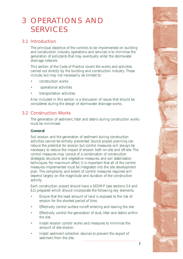## <span id="page-12-0"></span>3 OPERATIONS AND SERVICES

## **3.1 Introduction**

The principal objective of the controls to be implemented on building and construction industry operations and services is to minimise the generation of pollutants that may eventually enter the stormwater drainage network.

This section of the Code of Practice covers the works and activities carried out directly by the building and construction industry. These include, but may not necessarily be limited to:

- construction works
- operational activities
- transportation activities.

Also included in this section is a discussion of issues that should be considered during the design of stormwater drainage works.

## **3.2 Construction Works**

The generation of sediment, litter and debris during construction works must be minimised.

## **General**

Soil erosion and the generation of sediment during construction activities cannot be entirely prevented. Sound project planning can reduce the potential for erosion but control measures will always be necessary to reduce the impact of erosion both on-site and off-site. The control measures may consist of a combination of construction strategies, structural and vegetative measures, and soil stabilisation techniques. For maximum effect, it is important that all of the control measures implemented must be integrated into the site development plan. The complexity and extent of control measures required will depend largely on the magnitude and duration of the construction activity.

Each construction project should have a SEDMP (see sections 5.4 and 6.1) prepared which should incorporate the following key elements.

- Ensure that the least amount of land is exposed to the risk of erosion for the shortest period of time.
- Effectively control surface runoff entering and leaving the site.
- Effectively control the generation of dust, litter and debris within the site.
- Install erosion control works and measures to minimise the amount of site erosion.
- Install sediment collection devices to prevent the export of sediment from the site.

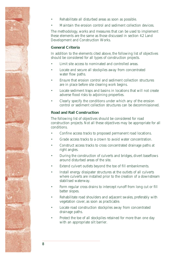

- Rehabilitate all disturbed areas as soon as possible.
- Maintain the erosion control and sediment collection devices.

The methodology, works and measures that can be used to implement these elements are the same as those discussed in section 4.2 Land Development and Construction Works.

## **General Criteria**

In addition to the elements cited above, the following list of objectives should be considered for all types of construction projects.

- Limit site access to nominated and controlled areas.
- Locate and secure all stockpiles away from concentrated water flow paths.
- Ensure that erosion control and sediment collection structures are in place before site clearing work begins.
- Locate sediment traps and basins in locations that will not create adverse flood risks to adjoining properties.
- Clearly specify the conditions under which any of the erosion control or sediment collection structures can be decommissioned.

## **Road and Rail Construction**

The following list of objectives should be considered for road construction projects. Not all these objectives may be appropriate for all conditions.

- Confine access tracks to proposed permanent road locations.
- Grade access tracks to a crown to avoid water concentration.
- Construct access tracks to cross concentrated drainage paths at right angles.
- During the construction of culverts and bridges, divert baseflows around disturbed areas of the site.
- Extend culvert outlets beyond the toe of fill embankments.
- Install energy dissipater structures at the outlets of all culverts where culverts are installed prior to the creation of a downstream stabilised waterway.
- Form regular cross drains to intercept runoff from long cut or fill batter slopes.
- Rehabilitate road shoulders and adjacent swales, preferably with vegetation cover, as soon as practicable.
- Locate road construction stockpiles away from concentrated drainage paths.
- Protect the toe of all stockpiles retained for more than one day with an appropriate silt barrier.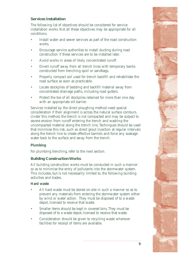## **Services Installation**

The following list of objectives should be considered for service installation works. Not all these objectives may be appropriate for all conditions.

- Install water and sewer services as part of the road construction works.
- Encourage service authorities to install ducting during road construction if these services are to be installed later.
- Avoid works in areas of likely concentrated runoff.
- Divert runoff away from all trench lines with temporary banks constructed from trenching spoil or sandbags.
- Properly compact soil used for trench backfill and rehabilitate the road surface as soon as practicable.
- Locate stockpiles of bedding and backfill material away from concentrated drainage paths, including road gutters.
- Protect the toe of all stockpiles retained for more than one day with an appropriate silt barrier.

Services installed by the direct ploughing method need special consideration if their alignment is across the natural surface contours. Under this method, the trench is not compacted and may be subject to severe erosion from runoff entering the trench and washing the uncompacted material along the trench line. Techniques should be used that minimise this risk, such as direct grout injection at regular intervals along the trench line to create effective barriers and force any soakage water back to the surface and away from the trench.

## **Plumbing**

For plumbing trenching, refer to the next section.

#### **Building Construction Works**

All building construction works must be conducted in such a manner so as to minimise the entry of pollutants into the stormwater system. This includes, but is not necessarily limited to, the following building activities and trades.

#### **Hard waste**

- All hard waste must be stored on-site in such a manner so as to prevent any materials from entering the stormwater system either by wind or water action. They must be disposed of to a waste depot, licensed to receive that waste.
- Smaller items should be kept in covered bins. They must be disposed of to a waste depot, licensed to receive that waste.
- Consideration should be given to recycling waste wherever facilities for receipt of items are available.

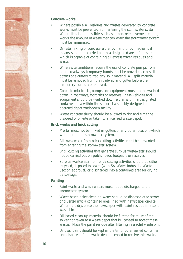

## **Concrete works**

- Where possible, all residues and wastes generated by concrete works must be prevented from entering the stormwater system. Where this is not possible, such as in concrete pavement cutting works, the amount of waste that can enter the stormwater system must be minimised.
- On-site mixing of concrete, either by hand or by mechanical means, should be carried out in a designated area of the site which is capable of containing all excess water, residues and waste.
- Where site conditions require the use of concrete pumps from public roadways, temporary bunds must be provided across all downslope gutters to trap any spilt material. All spilt material must be removed from the roadway and gutter before the temporary bunds are removed.
- Concrete mix trucks, pumps and equipment must not be washed down in roadways, footpaths or reserves. These vehicles and equipment should be washed down either within a designated contained area within the site or at a suitably designed and operated depot washdown facility.
- Waste concrete slurry should be allowed to dry and either be disposed of on-site or taken to a licensed waste depot.

## **Brick works and brick cutting**

- Mortar must not be mixed in gutters or any other location, which will drain to the stormwater system.
- All wastewater from brick cutting activities must be prevented from entering the stormwater system.
- Brick cutting activities that generate surplus wastewater should not be carried out on public roads, footpaths or reserves.
- Surplus wastewater from brick cutting activities should be either recycled, disposed to sewer (with SA Water Industrial Waste Section approval) or discharged into a contained area for drying by soakage.

## **Painting**

- Paint waste and wash waters must not be discharged to the stormwater system.
- Water-based paint cleaning water should be disposed of to sewer or diverted into a contained area lined with newspaper on-site. When it is dry, place the newspaper with paint residue in a solid waste bin.
- Oil-based clean up material should be filtered for reuse of the solvent or taken to a waste depot that is licensed to accept these wastes. Place the paint residue after filtering in a solid waste bin.
- Unused paint should be kept in the tin or other sealed container and disposed of to a waste depot licensed to receive this waste.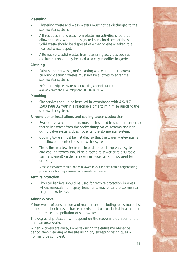## **Plastering**

- Plastering waste and wash waters must not be discharged to the stormwater system.
- All residues and wastes from plastering activities should be allowed to dry within a designated contained area of the site. Solid waste should be disposed of either on-site or taken to a licensed waste depot.
- Alternatively, solid wastes from plastering activities such as calcium sulphate may be used as a clay modifier in gardens.

### **Cleaning**

Paint stripping waste, roof cleaning waste and other general building cleaning wastes must not be allowed to enter the stormwater system.

Refer to the High Pressure Water Blasting Code of Practice, available from the EPA, telephone (08) 8204 2004.

## **Plumbing**

Site services should be installed in accordance with AS/NZ 3500:1988 3.2 within a reasonable time to minimise runoff to the stormwater system.

### **Airconditioner installations and cooling tower wastewater**

- Evaporative airconditioners must be installed in such a manner so that saline water from the cooler dump valve systems and nondump valve systems does not enter the stormwater system.
- Cooling towers must be installed so that the tower wastewater is not allowed to enter the stormwater system.
- The saline wastewater from airconditioner dump valve systems and cooling towers should be directed to sewer or to a suitable (saline tolerant) garden area or rainwater tank (if not used for drinking).

Note: Wastewater should not be allowed to exit the site onto a neighbouring property as this may cause environmental nuisance.

#### **Termite protection**

Physical barriers should be used for termite protection in areas where residuals from spray treatments may enter the stormwater or groundwater systems.

## **Minor Works**

Minor works of construction and maintenance including roads, footpaths, drains and other infrastructure elements must be conducted in a manner that minimises the pollution of stormwater.

The degree of protection will depend on the scope and duration of the maintenance works.

When workers are always on-site during the entire maintenance period, then cleaning of the site using dry sweeping techniques will normally be sufficient.

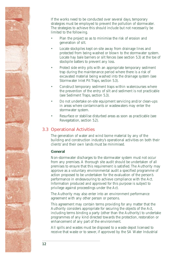

If the works need to be conducted over several days, temporary strategies must be employed to prevent the pollution of stormwater. The strategies to achieve this should include but not necessarily be limited to the following.

- Plan the project so as to minimise the risk of erosion and generation of silt.
- Locate stockpiles kept on-site away from drainage lines and protected from being washed or blown to the stormwater system. Locate hay bale barriers or silt fences (see section 5.3) at the toe of stockpile batters to prevent any loss.
- Protect side entry pits with an appropriate temporary sediment trap during the maintenance period where there is a risk of excavated material being washed into the drainage system (see Stormwater Inlet Pit Traps, section 5.3).
- Construct temporary sediment traps within watercourses where the prevention of the entry of silt and sediment is not practicable (see Sediment Traps, section 5.3).
- Do not undertake on-site equipment servicing and/or clean-ups in areas where contaminants or wastewaters may enter the stormwater system.
- Resurface or stabilise disturbed areas as soon as practicable (see Revegetation, section 5.2).

## **3.3 Operational Activities**

The generation of water and wind borne material by any of the building and construction industry's operational activities on both their clients' and their own lands must be minimised.

#### **General**

Non-stormwater discharges to the stormwater system must not occur from any premises. A thorough site audit should be undertaken of all premises to ensure that this requirement is satisfied. The Authority may approve as a voluntary environmental audit a specified programme of action proposed to be undertaken for the evaluation of the person's performance in endeavouring to achieve compliance with the Act. Information produced and approved for this purpose is subject to privilege against proceedings under the Act.

The Authority may also enter into an environment performance agreement with any other person or persons.

This agreement may contain terms providing for any matter that the Authority considers appropriate for securing the objects of the Act, including terms binding a party (other than the Authority) to undertake programmes of any kind directed towards the protection, restoration or enhancement of any part of the environment.

All spills and wastes must be disposed to a waste depot licensed to receive that waste or to sewer, if approved by the SA Water Industrial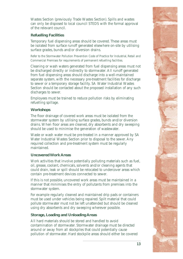Wastes Section (previously Trade Wastes Section). Spills and wastes can only be disposed to local council STEDS with the formal approval of the relevant council.

## **Refuelling Facilities**

Temporary fuel dispensing areas should be covered. These areas must be isolated from surface runoff generated elsewhere on-site by utilising surface grades, bunds and/or diversion drains.

Refer to the Stormwater Pollution Prevention Code of Practice for Industrial, Retail and Commercial Premises for requirements of permanent refuelling facilities.

Cleaning or wash waters generated from fuel dispensing areas must not be discharged directly or indirectly to stormwater. All runoff generated from fuel dispensing areas should discharge into a well-maintained separate system, with the necessary pre-treatment facilities for discharge to sewer or a temporary storage facility. SA Water Industrial Wastes Section should be contacted about the proposed installation of any such discharges to sewer.

Employees must be trained to reduce pollution risks by eliminating refuelling spillage.

### **Workshops**

The floor drainage of covered work areas must be isolated from the stormwater system by utilising surface grades, bunds and/or diversion drains. When floor areas are cleaned, dry absorbents and dry sweeping should be used to minimise the generation of wastewater.

Waste or wash water must be pre-treated in a manner approved by SA Water Industrial Wastes Section prior to disposal to the sewer. Any required collection and pre-treatment system must be regularly maintained.

## **Uncovered Work Areas**

Work activities that involve potentially polluting materials such as fuel, oil, grease, coolant, chemicals, solvents and/or cleaning agents that could drain, leak or spill should be relocated to undercover areas which contain pre-treatment devices connected to sewer.

If this is not possible, uncovered work areas must be maintained in a manner that minimises the entry of pollutants from premises into the stormwater system.

For example regularly cleaned and maintained drip pads or containers must be used under vehicles being repaired. Spilt material that could pollute stormwater must not be left unattended but should be cleaned using dry absorbents and dry sweeping wherever possible.

## **Storage, Loading and Unloading Areas**

All hard materials should be stored and handled to avoid contamination of stormwater. Stormwater drainage must be directed around or away from all stockpiles that could potentially cause pollution of stormwater. Hard stockpile areas should either be covered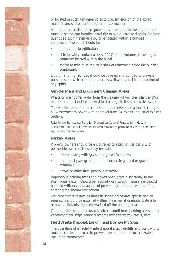

or located in such a manner so as to prevent erosion of the stored material and subsequent pollution of stormwater.

All liquid materials that are potentially hazardous to the environment must be stored and handled carefully to avoid leaks and spills. For large quantities, such materials should be located within a bunded compound. The bund should be:

- impervious to infiltration
- able to safely contain at least 120% of the volume of the largest container located within the bund
- roofed to minimise the collection of rainwater inside the bunded compound.

Liquid handling facilities should be covered and bunded to prevent possible stormwater contamination as well as to assist in the control of any spills.

## **Vehicle, Plant and Equipment Cleaning Areas**

Waste or washdown water from the cleaning of vehicles, plant and/or equipment must not be allowed to discharge to the stormwater system.

These activities should be carried out in a covered area that discharges all wastewater to sewer with approval from SA Water Industrial Wastes **Section** 

Refer to the Stormwater Pollution Prevention Code of Practice for Industrial, Retail and Commercial Premises for requirements of permanent vehicle plant and equipment cleaning areas.

## **Parking Areas**

Property owners should be encouraged to establish car parks with permeable surfaces. These may include:

- lattice paving with grassed or gravel 'windows'
- traditional paving laid out to incorporate grassed or gravel 'windows'
- gravel or other firm, pervious material.

Impervious parking areas and paved open areas discharging to the stormwater system should be regularly dry swept. These areas should be fitted with devices capable of preventing litter and sediment from entering the stormwater system.

For large carparks such as those in shopping centres, grease and oil separators should be installed within the internal drainage system to remove pollutants regularly washed off the parking areas.

Opportunities should be used to direct runoff from parking areas on to vegetated filter strips before discharge into the stormwater system.

## **Hard Waste Disposal, Landfill and Borrow Pit Sites**

The operation of all solid waste disposal sites, landfills and borrow pits must be carried out so as to prevent the pollution of surface water, including stormwater.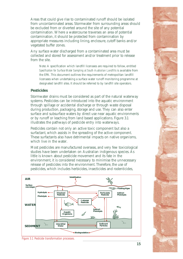Areas that could give rise to contaminated runoff should be isolated from uncontaminated areas. Stormwater from surrounding areas should be excluded from or diverted around the site of any potential contamination. Where a watercourse traverses an area of potential contamination, it should be protected from contamination by appropriate measures including lining, enclosure, cutoff banks and/or vegetated buffer zones.

Any surface water discharged from a contaminated area must be collected and stored for assessment and/or treatment prior to release from the site.

Note: A specification which landfill licensees are required to follow, entitled *Specification for Surface Water Sampling at South Australian Landfills* is available from the EPA. This document outlines the requirements of metropolitan landfill licensees when undertaking a surface water runoff monitoring programme at designated landfill sites. It should be referred to by landfill site operators.

#### **Pesticides**

Stormwater drains must be considered as part of the natural waterway systems. Pesticides can be introduced into the aquatic environment through spillage or accidental discharge or through waste disposal during production, packaging, storage and use. They can also enter surface and subsurface waters by direct use near aquatic environments or by runoff or leaching from land based applications. Figure 3.1 illustrates the pathways of pesticide entry into waterways.

Pesticides contain not only an active toxic component but also a surfactant, which assists in the spreading of the active component. These surfactants also have detrimental impacts on native organisms, which live in the water.

Most pesticides are manufactured overseas, and very few toxicological studies have been undertaken on Australian indigenous species. As little is known about pesticide movement and its fate in the environment, it is considered necessary to minimise the unnecessary release of pesticides into the environment. Therefore, the use of pesticides, which includes herbicides, insecticides and rodenticides,



*Figure 3.1 Pesticide transformation processes.*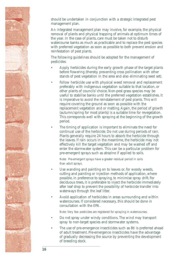should be undertaken in conjunction with a strategic integrated pest management plan.

An integrated management plan may involve, for example, the physical removal of plants and physical trapping of animals at optimum times of the year. In the case of plants, care must be taken not to disturb watercourse banks as much as practicable and to replace the pest species with preferred vegetation as soon as possible to both prevent erosion and reinfestation of pest plants.

The following guidelines should be adopted for the management of pesticides:

- Apply herbicides during the early growth phase of the target plants before flowering (thereby preventing cross pollination with other stands of pest vegetation in the area and also eliminating seed set).
- Follow herbicide use with physical weed removal and replacement preferably with indigenous vegetation suitable to that location, or other plants of councils' choice. Non-pest grass species may be useful to stabilise banks until the preferred vegetation establishes. It is imperative to avoid the reinstatement of pest plants. This will require covering the ground as soon as possible with the replacement vegetation and or matting. Again, the period of growth (autumn/spring for most plants) is a suitable time for revegetation. This corresponds well with spraying at the beginning of the growth period.
- The timing of application is important to eliminate the need for continual use of the herbicide. Do not use during periods of rain. Plants generally require 24 hours to absorb the herbicide through the leaves. If rain occurs in the meantime, the herbicide may not effectively kill the target vegetation and may be washed off and enter the stormwater system. This can be a particular problem for pre-emergent sprays such as atrazine if applied to soils.

Note: Pre-emergent sprays have a greater residual period in soils than adult sprays.

- Use wanding and painting on to leaves or, for woody weeds, cutting and painting or injection methods of application, where possible, in preference to spraying, to minimise spray drift. For deciduous trees, it is preferable to inject the herbicide immediately after leaf drop to prevent the possibility of herbicide transfer into waterways through the leaf litter.
- Avoid application of herbicides in areas surrounding and within watercourses. If considered necessary, this should be done in consultation with the EPA.

Note: Very few pesticides are registered for spraying in watercourses.

- Do not spray under windy conditions. The wind may transport spray to non-target species and stormwater systems.
- The use of pre-emergence insecticides such as Bti is preferred ahead of adult treatment. Pre-emergence insecticides have the advantage of gradually decreasing the source by preventing the development of breeding stock.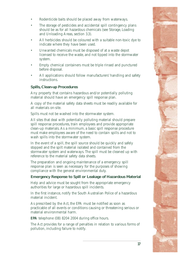- Rodenticide baits should be placed away from waterways.
- The storage of pesticides and accidental spill contingency plans should be as for all hazardous chemicals (see Storage, Loading and Unloading Areas, section 3.3).
- All herbicides should be coloured with a suitable non-toxic dye to indicate where they have been used.
- Unwanted chemicals must be disposed of at a waste depot licensed to receive the waste, and not tipped into the stormwater system.
- Empty chemical containers must be triple rinsed and punctured before disposal.
- All applications should follow manufacturers' handling and safety instructions.

## **Spills, Clean-up Procedures**

Any property that contains hazardous and/or potentially polluting material should have an emergency spill response plan.

A copy of the material safety data sheets must be readily available for all materials on-site.

Spills must not be washed into the stormwater system.

All sites that deal with potentially polluting material should prepare spill response procedures, train employees and provide appropriate clean-up materials. As a minimum, a basic spill response procedure must make employees aware of the need to contain spills and not to wash spills into the stormwater system.

In the event of a spill, the spill source should be quickly and safely stopped and the spilt material isolated and contained from the stormwater system and waterways. The spill must be cleaned up with reference to the material safety data sheets.

The preparation and ongoing maintenance of a emergency spill response plan is seen as necessary for the purposes of showing compliance with the general environmental duty.

## **Emergency Response to Spill or Leakage of Hazardous Material**

Help and advice must be sought from the appropriate emergency authorities for large or hazardous spill incidents.

In the first instance, notify the South Australian Police of a hazardous material incident.

As prescribed by the Act, the EPA must be notified as soon as practicable of all events or conditions causing or threatening serious or material environmental harm.

**E PA** telephone (08) 8204 2004 during office hours.

The Act provides for a range of penalties in relation to various forms of pollution, including failure to notify.

**17**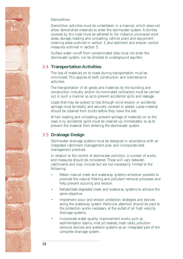## **Demolition**

Demolition activities must be undertaken in a manner, which does not allow demolished materials to enter the stormwater system. Activities covered by this code must be adhered to. For instance uncovered work areas, storage, loading and unloading, vehicle plant and equipment cleaning areas outlined in section 3, and sediment and erosion control measures outlined in section 5.

Surface water runoff from contaminated sites must not enter the stormwater system, nor be directed to underground aquifers.

## **3.4 Transportation Activities**

The loss of materials on to roads during transportation must be minimised. This applies to both construction and maintenance activities.

The transportation of all goods and materials by the building and construction industry and/or its nominated contractors must be carried out in such a manner so as to prevent accidental spills and leakage.

Loads that may be subject to loss through wind erosion or accidental spillage must be totally and securely covered or sealed. Loose material should be cleaned from trucks before they leave the site.

When loading and unloading, prevent spillage of materials on to the road. Any accidental spills must be cleaned up immediately so as to prevent the material from entering the stormwater system.

## **3.5 Drainage Design**

Stormwater drainage systems must be designed in accordance with an integrated catchment management plan and incorporate best management practices.

In relation to the control of stormwater pollution, a number of works and measures should be considered. These will vary between catchments and may include but are not necessarily limited to the following.

- Retain natural creek and waterway systems wherever possible to promote the natural filtering and pollutant removal processes and help prevent scouring and erosion.
- Rehabilitate degraded creek and waterway systems to achieve the same objective.
- Implement scour and erosion protection strategies and devices along the waterway system. Particular attention should be paid to the protection works necessary at the outlet of all high velocity drainage systems.
- Incorporate water quality improvement works, such as sedimentation basins, inlet pit baskets, trash racks, pollution removal devices and wetland systems as an integrated part of the complete drainage system.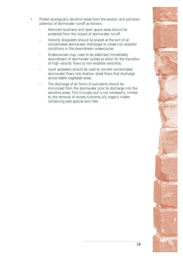- Protect ecologically sensitive areas from the erosion and pollution potential of stormwater runoff as follows:
	- Remnant bushland and open space areas should be protected from the impact of stormwater runoff.
	- Velocity dissipaters should be placed at the exit of all concentrated stormwater discharges to create non-erodible conditions in the downstream watercourse.
	- Watercourses may need to be stabilised immediately downstream of stormwater outlets to allow for the transition of high velocity flows to non-erodible velocities.
	- Level spreaders should be used to convert concentrated stormwater flows into shallow sheet flows that discharge across stable vegetated areas.
	- The discharge of all forms of pollutants should be minimised from the stormwater prior to discharge into the sensitive areas. This includes, but is not necessarily limited to, the removal of excess nutrients, silt, organic matter containing pest species and litter.

**19**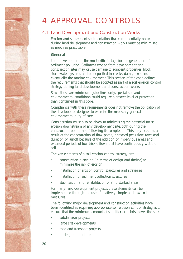## <span id="page-25-0"></span>4 APPROVAL CONTROLS

## **4.1 Land Development and Construction Works**

Erosion and subsequent sedimentation that can potentially occur during land development and construction works must be minimised as much as practicable.

#### **General**

Land development is the most critical stage for the generation of sediment pollution. Sediment eroded from development and construction sites may cause damage to adjacent properties, block stormwater systems and be deposited in creeks, dams, lakes and eventually the marine environment. This section of the code defines the requirements that should be adopted as part of a soil erosion control strategy during land development and construction works.

Since these are minimum guidelines only, special site and environmental conditions could require a greater level of protection than contained in this code.

Compliance with these requirements does not remove the obligation of the developer or designer to exercise the necessary general environmental duty of care.

Consideration must also be given to minimising the potential for soil erosion downstream of any development site, both during the construction period and following its completion. This may occur as a result of the concentration of flow paths, increased peak flow rates and duration of runoff because of the addition of impervious areas and extended periods of low trickle flows that have continuously wet the soil.

The key elements of a soil erosion control strategy are:

- construction planning (in terms of design and timing) to minimise the risk of erosion
- installation of erosion control structures and strategies
- installation of sediment collection structures
- stabilisation and rehabilitation of all disturbed areas.

For many land development projects, these elements can be implemented through the use of relatively simple and low cost measures.

The following major development and construction activities have been identified as requiring appropriate soil erosion control strategies to ensure that the minimum amount of silt, litter or debris leaves the site:

- subdivision projects
- large site developments
- road and transport projects
- underground utilities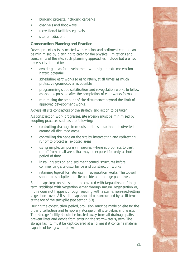- building projects, including carparks
- channels and floodways
- recreational facilities, eg ovals
- site remediation

## **Construction Planning and Practice**

Development costs associated with erosion and sediment control can be minimised by planning to cater for the physical limitations and constraints of the site. Such planning approaches include but are not necessarily limited to:

- avoiding areas for development with high to extreme erosion hazard potential
- scheduling earthworks so as to retain, at all times, as much protective groundcover as possible
- programming slope stabilisation and revegetation works to follow as soon as possible after the completion of earthworks formation
- minimising the amount of site disturbance beyond the limit of approved development works.

Advise all site contractors of the strategy and action to be taken.

As construction work progresses, site erosion must be minimised by adopting practices such as the following:

- controlling drainage from outside the site so that it is diverted around all disturbed areas
- controlling drainage on the site by intercepting and redirecting runoff to protect all exposed areas
- using simple, temporary measures, where appropriate, to treat runoff from small areas that may be exposed for only a short period of time
- installing erosion and sediment control structures before commencing site disturbance and construction works
- retaining topsoil for later use in revegetation works. The topsoil should be stockpiled on-site outside all drainage path lines.

Spoil heaps kept on-site should be covered with tarpaulins or if long term, stabilised with vegetation either through natural regeneration or, if this does not happen, through seeding with a sterile, non-seed-setting vegetation cover. All spoil heaps should be surrounded by a silt fence at the toe of the stockpile (see section 5.3).

During the construction period, provision must be made on-site for the orderly collection and temporary storage of all site debris and waste. This storage facility should be located away from all drainage paths to prevent litter and debris from entering the stormwater system. The storage facility must be kept covered at all times if it contains material capable of being wind blown.

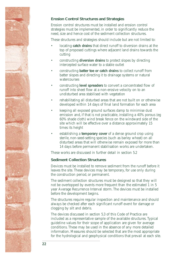

## **Erosion Control Structures and Strategies**

Erosion control structures must be installed and erosion control strategies must be implemented, in order to significantly reduce the need, size and hence cost of the sediment collection structures.

These structures and strategies should include but are not limited to:

- locating **catch drains** that direct runoff to diversion drains at the top of proposed cuttings where adjacent land drains towards the cutting
- constructing **diversion drains** to protect slopes by directing intercepted surface water to a stable outlet
- constructing **batter toe or catch drains** to collect runoff from batter slopes and directing it to drainage systems or natural watercourses
- constructing **level spreaders** to convert a concentrated flow of runoff into sheet flow at a non-erosive velocity on to an undisturbed area stabilised with vegetation
- rehabilitating all disturbed areas that are not built on or otherwise developed within 14 days of final land formation for each area
- keeping all exposed ground surfaces damp to minimise dust emission and, if that is not practicable, installing a 40% porous (eg 60% shade cloth) wind break fence on the windward side of the site which will be effective over a distance approximately 15 times its height
- establishing a **temporary cover** of a dense ground crop using sterile, non-seed-setting species (such as barley wheat) on all disturbed areas that will otherwise remain exposed for more than 14 days before permanent stabilisation works are undertaken.

These works are discussed in further detail in section 5.2

#### **Sediment Collection Structures**

Devices must be installed to remove sediment from the runoff before it leaves the site. These devices may be temporary, for use only during the construction period, or permanent.

The sediment collection structures must be designed so that they will not be overtopped by events more frequent than the estimated 1 in 5 year Average Recurrence Interval storm. The devices must be installed before the development begins.

The structures require regular inspection and maintenance and should always be checked after each significant runoff event for damage or clogging by silt and debris.

The devices discussed in section 5.3 of this Code of Practice are included as a representative sample of the available structures. Typical guideline values for their scope of application are given for average conditions. These may be used in the absence of any more detailed information. Measures should be selected that are the most appropriate for the hydrological and geophysical conditions that prevail at each site.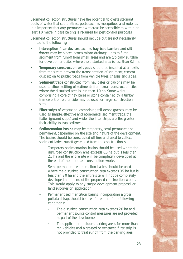Sediment collection structures have the potential to create stagnant pools of water that could attract pests such as mosquitoes and rodents. It is important that any permanent wet areas be accessible to within at least 1.0 metre in case baiting is required for pest control purposes.

Sediment collection structures should include but are not necessarily limited to the following.

- Interception filter devices such as hay bale barriers and silt **fences** may be placed across minor drainage lines to filter sediment from runoff from small areas and are typically suitable for development sites where the disturbed area is less than 0.5 ha.
- **Temporary construction exit pads** should be installed at all exits from the site to prevent the transportation of sediment, cement dust etc on to public roads from vehicle tyres, chassis and sides.
- **Sediment traps** constructed from hay bales or gabions may be used to allow settling of sediments from small construction sites where the disturbed area is less than 1.0 ha. Stone weirs comprising a core of hay bales or stone contained by a timber framework on either side may be used for larger construction sites.
- Filter strips of vegetation, comprising tall dense grasses, may be used as simple, effective and economical sediment traps; the flatter (ground slope) and wider the filter strips are, the greater their ability to trap sediment.
- **Sedimentation basins** may be temporary, semi-permanent or permanent, depending on the size and nature of the development. The basins should be constructed off-line and used to collect sediment laden runoff generated from the construction site.
	- Temporary sedimentation basins should be used where the disturbed construction area exceeds 0.5 ha but is less than 2.0 ha and the entire site will be completely developed at the end of the proposed construction works.
	- Semi-permanent sedimentation basins should be used where the disturbed construction area exceeds 0.5 ha but is less than 2.0 ha and the entire site will not be completely developed at the end of the proposed construction works. This would apply to any staged development proposal or land subdivision application.
	- Permanent sedimentation basins, incorporating a gross pollutant trap, should be used for either of the following conditions:
		- The disturbed construction area exceeds 2.0 ha and permanent source control measures are not provided as part of the development.
		- The application includes parking areas for more than ten vehicles and a grassed or vegetated filter strip is not provided to treat runoff from the parking area.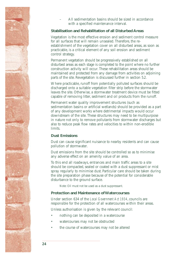

All sedimentation basins should be sized in accordance with a specified maintenance interval.

## **Stabilisation and Rehabilitation of all Disturbed Areas**

Vegetation is the most effective erosion and sediment control measure for all surfaces that will remain unsealed. Therefore, the reestablishment of the vegetation cover on all disturbed areas, as soon as practicable, is a critical element of any soil erosion and sediment control strategy.

Permanent vegetation should be progressively established on all disturbed areas as each stage is completed to the point where no further construction activity will occur. These rehabilitation areas should be maintained and protected from any damage from activities on adjoining parts of the site. Revegetation is discussed further in section 5.2.

Where practicable, runoff from potentially polluted surfaces should be discharged onto a suitable vegetation filter strip before the stormwater leaves the site. Otherwise, a stormwater treatment device must be fitted capable of removing litter, sediment and oil products from the runoff.

Permanent water quality improvement structures (such as sedimentation basins or artificial wetlands) should be provided as a part of any development works where detrimental impacts would occur downstream of the site. These structures may need to be multipurpose in nature not only to remove pollutants from stormwater discharges but also to reduce peak flow rates and velocities to within non-erodible **limits** 

#### **Dust Emissions**

Dust can cause significant nuisance to nearby residents and can cause pollution of stormwater.

Dust emissions from the site should be controlled so as to minimise any adverse effect on an amenity value of an area.

To this end all roadways, entrances and main traffic areas to a site should be compacted, sealed or coated with a dust suppressant or mist spray regularly to minimise dust. Particular care should be taken during the site preparation phase because of the potential for considerable disturbance to the ground surface.

Note: Oil must not be used as a dust suppressant.

### **Protection and Maintenance of Watercourses**

Under section 634 of the *Local Government Act 1934*, councils are responsible for the protection of all watercourses within their areas.

Unless authorisation is given by the relevant council:

- nothing can be deposited in a watercourse
- watercourses may not be obstructed
- the course of watercourses may not be altered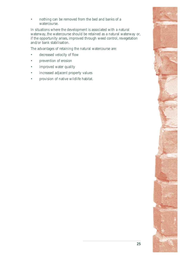nothing can be removed from the bed and banks of a watercourse.

In situations where the development is associated with a natural waterway, the watercourse should be retained as a natural waterway or, if the opportunity arises, improved through weed control, revegetation and/or bank stabilisation.

The advantages of retaining the natural watercourse are:

- decreased velocity of flow
- prevention of erosion
- improved water quality
- increased adjacent property values
- provision of native wildlife habitat.

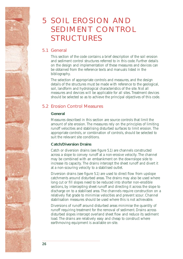## <span id="page-31-0"></span>5 SOIL EROSION AND SEDIMENT CONTROL **STRUCTURES**

## **5.1 General**

This section of the code contains a brief description of the soil erosion and sediment control structures referred to in this code. Further details on the design and implementation of these measures and devices can be obtained from the reference texts and manuals listed in the bibliography.

The selection of appropriate controls and measures, and the design details of the structures must be made with reference to the geological, soil, landform and hydrological characteristics of the site. Not all measures and devices will be applicable for all sites. Treatment devices should be selected so as to achieve the principal objectives of this code.

## **5.2 Erosion Control Measures**

## **General**

Measures described in this section are source controls that limit the amount of site erosion. The measures rely on the principles of limiting runoff velocities and stabilising disturbed surfaces to limit erosion. The appropriate controls, or combination of controls, should be selected to suit the relevant site conditions.

## **Catch/Diversion Drains**

Catch or diversion drains (see figure 5.1) are channels constructed across a slope to convey runoff at a non-erosive velocity. The channel may be combined with an embankment on the downslope side to increase its capacity. The drains intercept the sheet runoff and divert it at a non-scouring velocity to a stabilised outlet.

Diversion drains (see figure 5.1) are used to direct flow from upslope catchments around disturbed areas. The drains may also be used where long cut or fill slopes need to be reduced into shorter non-erodible sections, by intercepting sheet runoff and directing it across the slope to discharge on to a stabilised area. The channels require construction on a relatively flat grade to minimise velocities and prevent scour. Channel stabilisation measures should be used where this is not achievable.

Diversions of runoff around disturbed areas minimise the quantity of runoff requiring treatment for the removal of sediment. Drains across disturbed slopes intercept overland sheet flow and reduce its sediment load. The drains are relatively easy and cheap to construct where earthmoving equipment is available on-site.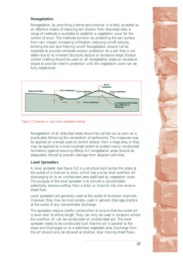### **Revegetation**

Revegetation, by providing a dense groundcover, is widely accepted as an effective means of reducing soil erosion from disturbed sites. A range of methods is available to establish a vegetation cover for the control of scour. The methods function by protecting the soil surface from rain impact, increasing infiltration, reducing runoff velocity, binding the soil and filtering runoff. Revegetation should not be expected to provide complete erosion protection for a soil that is not stable due to its inherent structure, texture or excessive slope. Erosion control matting should be used on all revegetation areas on excessive slopes to provide interim protection until the vegetation cover can be fully established.



*Figure 5.1 Diversion or catch drain installation method.* 

Revegetation of all disturbed areas should be carried out as soon as is practicable following the completion of earthworks. The measures may be applied on a broad scale to control erosion from a large area, or they may be applied to a more localised extent to protect newly constructed formations against scouring effects. All revegetation areas should be adequately fenced to prevent damage from adjacent activities.

#### **Level Spreaders**

A level spreader (see figure 5.2) is a structure built across the slope at the outlet of a channel or drain, which has a wide level overflow sill discharging on to an undisturbed area stabilised by vegetation cover. The purpose of the level spreader is to convert a concentrated, potentially erosive outflow from a drain or channel into non-erosive sheet flow.

Level spreaders are generally used at the outlet of diversion channels. However, they may be more widely used in general drainage practice at the outlet of any concentrated discharge.

The spreaders require careful construction to ensure that the outlet sill is level over its entire length. They can only be used in locations where the overflow sill can be constructed on undisturbed soil. The level spreader needs to be constructed such that the sill is parallel to the slope and discharges on to a stabilised vegetated area. Discharge from the sill should only be allowed as shallow, slow moving sheet flows.

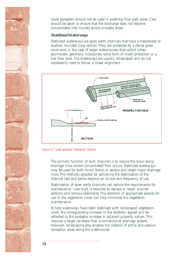Level spreaders should not be used in potential flow path areas. Care should be taken to ensure that the discharge does not become concentrated into rivulets across unstable areas.

#### **Stabilised Waterways**

Stabilised waterways are open earth channels that have a trapezoidal or shallow rounded cross section. They are protected by a dense grass cover and, in the case of larger watercourses that collect urban stormwater, generally incorporate some form of invert protection or a low flow pipe. The waterways are usually landscaped and do not necessarily need to follow a linear alignment.



*Figure 5.2 Level spreader installation method.* 

The primary function of such channels is to reduce the scour along drainage lines where concentrated flow occurs. Stabilised waterways may be used for both minor drains or swales and larger major drainage lines. The methods adopted for achieving the stabilisation of the channel bed and banks depend on its size and frequency of use.

Stabilisation of open earth channels can reduce the requirements for maintenance. Less work is required to replace or repair scoured sections and remove sediments. The selection of appropriate species for use in the vegetation cover can help minimise the vegetation maintenance.

Where waterways have been stabilised with landscaped vegetation cover, the corresponding increase in the aesthetic appeal will be reflected in the probable increase in adjacent property values. This requires a larger landtake than a conventional drainage system, however, landscaping also enables the creation of active and passive recreation areas along the watercourse.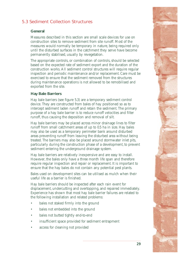## **5.3 Sediment Collection Structures**

## **General**

Measures described in this section are small scale devices for use on construction sites to remove sediment from site runoff. Most of the measures would normally be temporary in nature, being required only until the disturbed surfaces in the catchment they serve have become permanently stabilised, usually by revegetation.

The appropriate controls, or combination of controls, should be selected based on the expected rate of sediment export and the duration of the construction works. All sediment control structures will require regular inspection and periodic maintenance and/or replacement. Care must be exercised to ensure that the sediment removed from the structures during maintenance operations is not allowed to be remobilised and exported from the site.

#### **Hay Bale Barriers**

Hay bale barriers (see figure 5.3) are a temporary sediment control device. They are constructed from bales of hay positioned so as to intercept sediment laden runoff and retain the sediment. The primary purpose of a hay bale barrier is to reduce runoff velocities and filter runoff, thus causing the deposition and removal of silt.

Hay bale barriers may be placed across minor drainage lines to filter runoff from small catchment areas of up to 0.5 ha in size. Hay bales may also be used as a temporary perimeter bank around disturbed areas preventing runoff from leaving the disturbed area without being treated. The barriers may also be placed around stormwater inlet pits, particularly during the construction phase of a development, to prevent sediment entering the underground drainage system.

Hay bale barriers are relatively inexpensive and are easy to install. However, the bales only have a three month life span and therefore require regular inspection and repair or replacement. It is important to ensure that the hay bales do not contain any potential pest plants.

Bales used on development sites can be utilised as mulch when their useful life as a barrier is finished.

Hay bale barriers should be inspected after each rain event for displacement, undercutting and overtopping, and repaired immediately. Experience has shown that most hay bale barrier failures are related to the following installation and related problems:

- bales not staked firmly into the ground
- bales not embedded into the ground
- bales not butted tightly end-to-end
- insufficient space provided for sediment entrapment
- access for cleaning not provided

**29**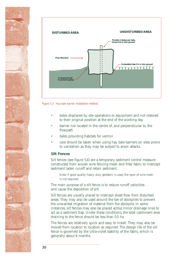



*Figure 5.3 Hay bale barrier installation method.* 

- bales displaced by site operations or equipment and not restored to their original position at the end of the working day
- barrier not located in the centre of, and perpendicular to, the flowpath
- bales providing habitats for vermin
- care should be taken when using hay bale barriers on sites prone to vandalism as they may be subject to arson attacks.

#### **Silt Fences**

Silt fences (see figure 5.4) are a temporary sediment control measure constructed from woven wire fencing mesh and filter fabric to intercept sediment laden runoff and retain sediment.

Note: If good quality heavy duty geofabric is used, the layer of wire mesh is not required.

The main purpose of a silt fence is to reduce runoff velocities and cause the deposition of silt.

Silt fences are usually placed to intercept sheet flow from disturbed areas. They may also be used around the toe of stockpiles to prevent the unwanted migration of material from the stockpile. In some instances, silt fences may also be placed across minor drainage lines to act as a sediment trap. Under these conditions, the total catchment area draining to the fence should be less than 0.5 ha.

The fences are relatively quick and easy to install. They may also be moved from location to location as required. The design life of the silt fence is governed by the ultra-violet stability of the fabric, which is generally about 6 months.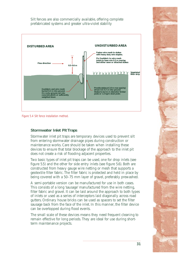Silt fences are also commercially available, offering complete prefabricated systems and greater ultra-violet stability



*Figure 5.4 Silt fence installation method.* 

## **Stormwater Inlet Pit Traps**

Stormwater inlet pit traps are temporary devices used to prevent silt from entering stormwater drainage pipes during construction or maintenance works. Care should be taken when installing these devices to ensure that total blockage of the approach to the inlet pit does not create a risk of flooding adjacent properties.

Two basic types of inlet pit traps can be used, one for drop inlets (see figure 5.5) and the other for side entry inlets (see figure 5.6). Both are constructed from heavy gauge wire netting or mesh that supports a geotextile filter fabric. The filter fabric is protected and held in place by being covered with a 50–75 mm layer of gravel, preferably prewashed.

A semi-portable version can be manufactured for use in both cases. This consists of a long 'sausage' manufactured from the wire netting, filter fabric and gravel. It can be laid around the approach to both types of inlets or used as a series of interceptors laid diagonally across road gutters. Ordinary house bricks can be used as spacers to set the filter sausage back from the face of the inlet. In this manner, the filter device can be overtopped during flood events.

The small scale of these devices means they need frequent cleaning to remain effective for long periods. They are ideal for use during shortterm maintenance projects.

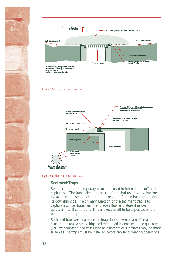



*Figure 5.5 Drop inlet sediment trap.* 



*Figure 5.6 Side inlet sediment trap.* 

#### **Sediment Traps**

Sediment traps are temporary structures used to intercept runoff and capture silt. The traps take a number of forms but usually involve the excavation of a small basin and the creation of an embankment along its downhill side. The primary function of the sediment trap is to capture a concentrated sediment laden flow and store it under quiescent (still) conditions. This allows the silt to be deposited in the bottom of the trap.

Sediment traps are located on drainage lines downstream of small catchment areas where a high sediment load is expected to be generated. (For low sediment load cases, hay bale barriers or silt fences may be more suitable.) The traps must be installed before any land clearing operations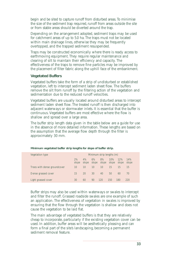begin and be sited to capture runoff from disturbed areas. To minimise the size of the sediment trap required, runoff from areas outside the site or from stable areas should be diverted around the trap.

Depending on the arrangement adopted, sediment traps may be used for catchment areas of up to 5.0 ha. The traps must not be located within main drainage lines, otherwise they may be frequently overtopped, and the trapped sediment resuspended.

Traps may be constructed economically where there is ready access to earthmoving equipment. They require regular maintenance and clearing of silt to maintain their efficiency and capacity. The effectiveness of the traps to remove fine particles may be improved by the placement of filter fabric along the uphill face of the embankment.

#### **Vegetated Buffers**

Vegetated buffers take the form of a strip of undisturbed or established vegetation, left to intercept sediment laden sheet flow. The buffers remove the silt from runoff by the filtering action of the vegetation and sedimentation due to the reduced runoff velocities.

Vegetated buffers are usually located around disturbed areas to intercept sediment laden sheet flow. The treated runoff is then discharged into adjacent waterways or stormwater inlets. It is essential that the buffer is continuous. Vegetated buffers are most effective where the flow is shallow and spread over a large area.

The buffer strip length data given in the table below are a guide for use in the absence of more detailed information. These lengths are based on the assumption that the average flow depth through the filter is approximately 30 mm.

| Vegetation type              | Minimum strip lengths (m) |             |                 |                   |              |              |              |  |
|------------------------------|---------------------------|-------------|-----------------|-------------------|--------------|--------------|--------------|--|
|                              | 2%<br>slope               | 4%<br>slope | 6%              | 8%<br>slope slope | 10%<br>slope | 12%<br>slope | 14%<br>slope |  |
| Trees with dense groundcover | 10                        | 10          | 10 <sup>7</sup> | $10 \,$           | 15           | 15           | 15           |  |
| Dense grassed cover          | 15                        | 20          | 30              | 40                | 50           | 60           | 70           |  |
| Light grassed cover          | 30                        | 60          | 90              | 120               | 150          | 180          | 220          |  |

**Minimum vegetated buffer strip lengths for slope of buffer strip.** 

Buffer strips may also be used within waterways or swales to intercept and filter the runoff. Grassed roadside swales are one example of such an application. The effectiveness of vegetation in swales is improved by ensuring that the flow through the vegetation is shallow and does not cause the vegetation to be laid flat.

The main advantage of vegetated buffers is that they are relatively cheap to incorporate, particularly if the existing vegetation cover can be used. In addition, buffer areas will be aesthetically pleasing and can form a final part of the site's landscaping, becoming a permanent sediment removal feature.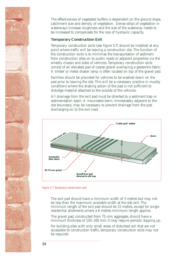The effectiveness of vegetated buffers is dependent on the ground slope, catchment size and density of vegetation. Dense strips of vegetation in waterways increase roughness and the size of the waterway needs to be increased to compensate for the loss of hydraulic capacity.

### **Temporary Construction Exit**

Temporary construction exits (see figure 5.7) should be installed at any point where traffic will be leaving a construction site. The function of the construction exits is to minimise the transportation of sediment from construction sites on to public roads or adjacent properties via the wheels, chassis and sides of vehicles. Temporary construction exits consist of an elevated pad of coarse gravel overlaying a geotextile fabric. A timber or metal shaker ramp is often located on top of the gravel pad.

Facilities should be provided for vehicles to be washed down on the pad prior to leaving the site. This will be a necessary practice in muddy conditions where the shaking action of the pad is not sufficient to dislodge material attached to the outside of the vehicles.

All drainage from the exit pad must be directed to a sediment trap or sedimentation basin. A mountable berm, immediately adjacent to the site boundary, may be necessary to prevent drainage from the pad discharging on to the exit road.



*Figure 5.7 Temporary construction exit.* 

The exit pad should have a minimum width of 3 metres but may not be less than the maximum available width at the site exit. The minimum length of the exit pad should be 15 metres, except for single residential allotments where a 6 metres minimum length applies.

The gravel pad, constructed from 75 mm aggregate, should have a minimum thickness of 150–200 mm. It may require periodic topping up.

For building sites with only small areas of disturbed soil that are not accessible to construction traffic, temporary construction exits may not be required.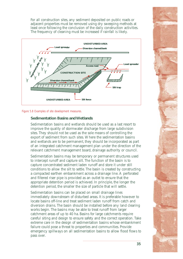For all construction sites, any sediment deposited on public roads or adjacent properties must be removed using dry sweeping methods at least once following the conclusion of the daily construction activities. The frequency of cleaning must be increased if rainfall is likely.



*Figure 5.8 Examples of site development measures.* 

## **Sedimentation Basins and Wetlands**

Sedimentation basins and wetlands should be used as a last resort to improve the quality of stormwater discharge from large subdivision sites. They should not be used as the sole means of controlling the export of sediment from such sites. Where the sedimentation basins and wetlands are to be permanent, they should be incorporated as part of an integrated catchment management plan under the direction of the relevant catchment management board, drainage authority or council.

Sedimentation basins may be temporary or permanent structures used to intercept runoff and capture silt. The function of the basin is to capture concentrated sediment laden runoff and store it under still conditions to allow the silt to settle. The basin is created by constructing a compacted earthen embankment across a drainage line. A perforated and filtered riser pipe is provided as an outlet to ensure that the appropriate detention period is achieved. In principle, the longer the detention period, the smaller the size of particle that will settle.

Sedimentation basins can be placed on small drainage lines immediately downstream of disturbed areas. It is preferable however to locate basins off-line and treat sediment laden runoff from catch and diversion drains. The basin should be installed before any land clearing works begin. The basins may be able to treat runoff from larger catchment areas of up to 40 ha. Basins for large catchments require careful siting and design to ensure safety and the correct operation. Take extreme care in the design of sedimentation basins whose embankment failure could pose a threat to properties and communities. Provide emergency spillways on all sedimentation basins to allow flood flows to pass over.

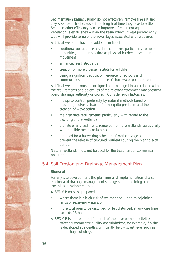Sedimentation basins usually do not effectively remove fine silt and clay sized particles because of the length of time they take to settle. Sedimentation efficiency can be improved if emergent aquatic vegetation is established within the basin which, if kept permanently wet, will provide some of the advantages associated with wetlands.

Artificial wetlands have the added benefits of:

- additional pollutant removal mechanisms, particularly soluble impurities, and plants acting as physical barriers to sediment movement
- enhanced aesthetic value
- creation of more diverse habitats for wildlife
- being a significant education resource for schools and communities on the importance of stormwater pollution control.

Artificial wetlands must be designed and managed in accordance with the requirements and objectives of the relevant catchment management board, drainage authority or council. Consider such factors as:

- mosquito control, preferably by natural methods based on providing a diverse habitat for mosquito predators and the creation of wave action
- maintenance requirements, particularly with regard to the desilting of the wetlands
- the fate of any sediments removed from the wetlands, particularly with possible metal contamination
- the need for a harvesting schedule of wetland vegetation to prevent the release of captured nutrients during the plant die-off period.

Natural wetlands must not be used for the treatment of stormwater pollution.

## **5.4 Soil Erosion and Drainage Management Plan**

#### **General**

For any site development, the planning and implementation of a soil erosion and drainage management strategy should be integrated into the initial development plan.

A SEDMP must be prepared:

- where there is a high risk of sediment pollution to adjoining lands or receiving waters; or
- if the total area to be disturbed, or left disturbed, at any one time exceeds 0.5 ha.
- A SEDMP is not required if the risk of the development activities affecting stormwater quality are minimized, for example, if a site is developed at a depth significantly below street level such as multi-story buildings.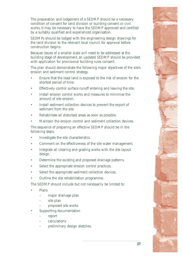The preparation and lodgement of a SEDMP should be a necessary condition of consent for land division or building consent or civil works. It may be necessary to have the SEDMP approved and certified by a suitably qualified and experienced organisation.

SEDMPs should be lodged with the engineering design drawings for the land division to the relevant local council for approval before construction begins.

Because issues of a smaller scale will need to be addressed at the building stage of development, an updated SEDMP should be provided with application for provisional building rules consent.

The plan should demonstrate the following major objectives of the site's erosion and sediment control strategy.

- Ensure that the least land is exposed to the risk of erosion for the shortest period of time.
- Effectively control surface runoff entering and leaving the site.
- Install erosion control works and measures to minimise the amount of site erosion.
- Install sediment collection devices to prevent the export of sediment from the site.
- Rehabilitate all disturbed areas as soon as possible.
- Maintain the erosion control and sediment collection devices.

The sequence of preparing an effective SEDMP should be in the following steps.

- Investigate the site characteristics.
- Comment on the effectiveness of the site water management.
- Integrate all clearing and grading works with the site layout design.
- Determine the existing and proposed drainage patterns.
- Select the appropriate erosion control practices.
- Select the appropriate sediment collection devices.
- Outline the site rehabilitation programme.

The SEDMP should include but not necessarily be limited to:

- **Plans** 
	- major drainage plan
	- site plan
	- proposed site works
- Supporting documentation
	- report
	- – calculations
	- preliminary design sketches.

**37**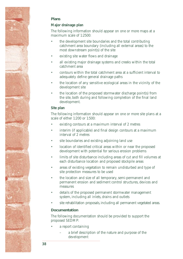

## **Plans**

## **Major drainage plan**

The following information should appear on one or more maps at a maximum scale of 1:2500:

- the development site boundaries and the total contributing catchment area boundary (including all external areas) to the most downstream point(s) of the site
- existing site water flows and drainage
- all existing major drainage systems and creeks within the total catchment area
- contours within the total catchment area at a sufficient interval to adequately define general drainage paths
- the location of any sensitive ecological areas in the vicinity of the development site
- the location of the proposed stormwater discharge point(s) from the site, both during and following completion of the final land development.

#### **Site plan**

The following information should appear on one or more site plans at a scale of either 1:200 or 1:500:

- existing contours at a maximum interval of 2 metres
- interim (if applicable) and final design contours at a maximum interval of 2 metres
- site boundaries and existing adjoining land use
- location of identified critical areas within or near the proposed development with potential for serious erosion problems
- limits of site disturbance including areas of cut and fill volumes at each disturbance location and proposed stockpile areas
- areas of existing vegetation to remain undisturbed and type of site protection measures to be used
- the location and size of all temporary, semi-permanent and permanent erosion and sediment control structures, devices and measures
- details of the proposed permanent stormwater management system, including all inlets, drains and outlets
- site rehabilitation proposals, including all permanent vegetated areas.

#### **Documentation**

The following documentation should be provided to support the proposed SEDMP:

- a report containing
	- a brief description of the nature and purpose of the development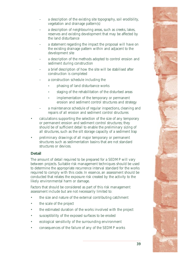- a description of the existing site topography, soil erodibility, vegetation and drainage pattern(s)
- a description of neighbouring areas, such as creeks, lakes, reserves and existing development that may be affected by the land disturbance
- a statement regarding the impact the proposal will have on the existing drainage pattern within and adjacent to the development site
- a description of the methods adopted to control erosion and sediment during construction
- a brief description of how the site will be stabilised after construction is completed
- a construction schedule including the
	- phasing of land disturbance works
	- staging of the rehabilitation of the disturbed areas
	- implementation of the temporary or permanent erosion and sediment control structures and strategy
- a maintenance schedule of regular inspections, cleaning and repairs of all erosion and sediment control structures
- calculations supporting the selection of the size of any temporary or permanent erosion and sediment control structures; they should be of sufficient detail to enable the preliminary sizing of all structures, such as the silt storage capacity of a sediment trap
- preliminary drawings of all major temporary or permanent structures such as sedimentation basins that are not standard structures or devices.

## **Detail**

The amount of detail required to be prepared for a SEDMP will vary between projects. Suitable risk management techniques should be used to determine the appropriate recurrence interval standard for the works required to comply with this code. In essence, an assessment should be conducted that relates the exposure risk created by the activity to the likely environmental harm or damage.

Factors that should be considered as part of this risk management assessment include but are not necessarily limited to:

- the size and nature of the external contributing catchment
- the scale of the project
- the estimated duration of the works involved with the project
- susceptibility of the exposed surfaces to be eroded
- ecological sensitivity of the surrounding environment
- consequences of the failure of any of the SEDMP works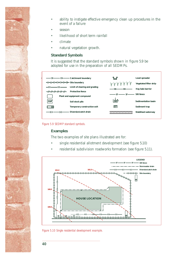

- ability to instigate effective emergency clean up procedures in the event of a failure
- season
- likelihood of short term rainfall
- climate
- natural vegetation growth.

### **Standard Symbols**

It is suggested that the standard symbols shown in figure 5.9 be adopted for use in the preparation of all SEDMPs.





#### **Examples**

The two examples of site plans illustrated are for:

- single residential allotment development (see figure 5.10)
- residential subdivision roadworks formation (see figure 5.11).



*Figure 5.10 Single residential development example.*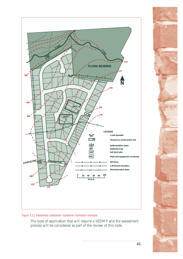

*Figure 5.11 Residential subdivision roadworks formation example.* 

The type of application that will require a SEDMP and the assessment process will be considered as part of the review of this code.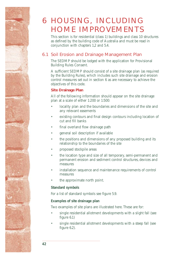## <span id="page-47-0"></span>6 HOUSING, INCLUDING HOME IMPROVEMENTS

This section is for residential (class 1) buildings and class 10 structures as defined by the building code of Australia and must be read in conjunction with chapters 1,2 and 5.4.

## **6.1 Soil Erosion and Drainage Management Plan**

The SEDMP should be lodged with the application for Provisional Building Rules Consent.

A sufficient SEDMP should consist of a site drainage plan (as required by the Building Rules), which includes such site drainage and erosion control measures set out in section 6 as are necessary to achieve the objectives of this code.

## **Site Drainage Plan**

All of the following information should appear on the site drainage plan at a scale of either 1:200 or 1:500:

- locality plan and the boundaries and dimensions of the site and any relevant easements
- existing contours and final design contours including location of cut and fill banks
- final overland flow drainage path
- general soil description if available
- the positions and dimensions of any proposed building and its relationship to the boundaries of the site
- proposed stockpile areas
- the location type and size of all temporary, semi-permanent and permanent erosion and sediment control structures, devices and measures
- installation sequence and maintenance requirements of control measures
- the approximate north point.

## **Standard symbols**

For a list of standard symbols see figure 5.9.

## **Examples of site drainage plan**

Two examples of site plans are illustrated here. These are for:

- single residential allotment developments with a slight fall (see figure 6.1)
- single residential allotment developments with a steep fall (see figure 6.2).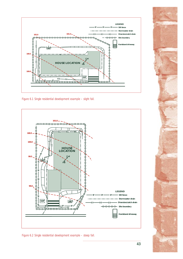

*Figure 6.1 Single residential development example – slight fall.* 



*Figure 6.2 Single residential development example – steep fall.* 

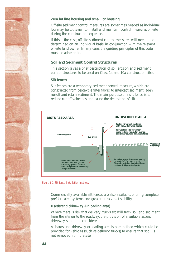

## **Zero lot line housing and small lot housing**

Off-site sediment control measures are sometimes needed as individual lots may be too small to install and maintain control measures on-site during the construction sequence.

If this is the case, off-site sediment control measures will need to be determined on an individual basis, in conjunction with the relevant off-site land owner. In any case, the guiding principles of this code must be adhered to.

## **Soil and Sediment Control Structures**

This section gives a brief description of soil erosion and sediment control structures to be used on Class 1a and 10a construction sites.

#### **Silt fences**

Silt fences are a temporary sediment control measure, which are constructed from geotextile filter fabric, to intercept sediment laden runoff and retain sediment. The main purpose of a silt fence is to reduce runoff velocities and cause the deposition of silt.



*Figure 6.3 Silt fence installation method.* 

Commercially available silt fences are also available, offering complete prefabricated systems and greater ultra-violet stability.

## **Hardstand driveway (unloading area)**

Where there is risk that delivery trucks etc will track soil and sediment from the site on to the roadway, the provision of a suitable access driveway should be considered.

A 'hardstand' driveway or loading area is one method which could be provided for vehicles (such as delivery trucks) to ensure that spoil is not removed from the site.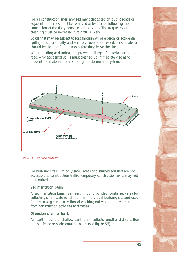For all construction sites, any sediment deposited on public roads or adjacent properties must be removed at least once following the conclusion of the daily construction activities. The frequency of cleaning must be increased if rainfall is likely.

Loads that may be subject to loss through wind erosion or accidental spillage must be totally and securely covered or sealed. Loose material should be cleaned from trucks before they leave the site.

When loading and unloading, prevent spillage of materials on to the road. Any accidental spills must cleaned up immediately so as to prevent the material from entering the stormwater system.



*Figure 6.4 Hardstand driveway.* 

For building sites with only small areas of disturbed soil that are not accessible to construction traffic, temporary construction exits may not be required.

#### **Sedimentation basin**

A sedimentation basin is an earth mound bunded (contained) area for collecting small scale runoff from an individual building site and used for the soakage and collection of washing out water and sediments from construction activities and trades.

#### **Diversion channel/bank**

An earth mound or shallow earth drain collects runoff and diverts flow to a silt fence or sedimentation basin (see figure 6.5).

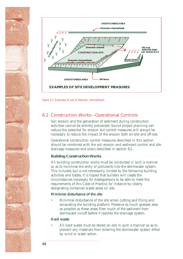

*Figure 6.5 Examples of use of diversion channel/bank.* 

## **6.2 Construction Works—Operational Controls**

Soil erosion and the generation of sediment during construction activities cannot be entirely prevented. Sound project planning can reduce the potential for erosion but control measures will always be necessary to reduce the impact of the erosion both on-site and off-site.

Operational construction control measures described in this section should be combined with the soil erosion and sediment control and site drainage measures and plans described in section 6.1.

## **Building Construction Works**

All building construction works must be conducted in such a manner so as to minimise the entry of pollutants into the stormwater system. This includes, but is not necessarily limited to, the following building activities and trades. It is hoped that builders will create the circumstances necessary for tradespersons to be able to meet the requirements of this Code of Practice, for instance by clearly designating contained waste areas on site.

## **Minimise disturbance of the site**

Minimise disturbance of the site when cutting and filling and excavating the building platform. Preserve as much grassed area as possible as these areas filter much of the sediment from stormwater runoff before it reaches the drainage system.

## **Hard waste**

All hard waste must be stored on-site in such a manner so as to prevent any materials from entering the stormwater system either by wind or water action.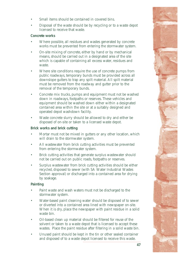- Small items should be contained in covered bins.
- Disposal of the waste should be by recycling or to a waste depot licensed to receive that waste.

## **Concrete works**

- Where possible, all residues and wastes generated by concrete works must be prevented from entering the stormwater system.
- On-site mixing of concrete, either by hand or by mechanical means, should be carried out in a designated area of the site which is capable of containing all excess water, residues and waste.
- Where site conditions require the use of concrete pumps from public roadways, temporary bunds must be provided across all downslope gutters to trap any spilt material. All spilt material must be removed from the roadway and gutter prior to the removal of the temporary bunds.
- Concrete mix trucks, pumps and equipment must not be washed down in roadways, footpaths or reserves. These vehicles and equipment should be washed down either within a designated contained area within the site or at a suitably designed and operated depot washdown facility.
- Waste concrete slurry should be allowed to dry and either be disposed of on-site or taken to a licensed waste depot.

## **Brick works and brick cutting**

- Mortar must not be mixed in gutters or any other location, which will drain to the stormwater system.
- All wastewater from brick cutting activities must be prevented from entering the stormwater system.
- Brick cutting activities that generate surplus wastewater should not be carried out on public roads, footpaths or reserves.
- Surplus wastewater from brick cutting activities should be either recycled, disposed to sewer (with SA Water Industrial Wastes Section approval) or discharged into a contained area for drying by soakage.

## **Painting**

- Paint waste and wash waters must not be discharged to the stormwater system.
- Water-based paint cleaning water should be disposed of to sewer or diverted into a contained area lined with newspaper on-site. When it is dry, place the newspaper with paint residue in a solid waste bin.
- Oil-based clean up material should be filtered for reuse of the solvent or taken to a waste depot that is licensed to accept these wastes. Place the paint residue after filtering in a solid waste bin.
- Unused paint should be kept in the tin or other sealed container and disposed of to a waste depot licensed to receive this waste.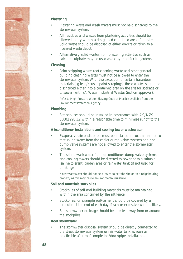

## **Plastering**

- Plastering waste and wash waters must not be discharged to the stormwater system.
- All residues and wastes from plastering activities should be allowed to dry within a designated contained area of the site. Solid waste should be disposed of either on-site or taken to a licensed waste depot.
- Alternatively, solid wastes from plastering activities such as calcium sulphate may be used as a clay modifier in gardens.

### **Cleaning**

Paint stripping waste, roof cleaning waste and other general building cleaning wastes must not be allowed to enter the stormwater system. With the exception of certain hazardous materials (eg lead/caustic paint scrapings), these wastes should be discharged either into a contained area on the site for soakage or to sewer (with SA Water Industrial Wastes Section approval).

Refer to High Pressure Water Blasting Code of Practice available from the Environment Protection Agency.

### **Plumbing**

Site services should be installed in accordance with AS/NZS 3500:1998 3.2 within a reasonable time to minimise runoff to the stormwater system.

#### **Airconditioner installations and cooling tower wastewater**

- Evaporative airconditioners must be installed in such a manner so that saline water from the cooler dump valve systems and nondump valve systems are not allowed to enter the stormwater system.
- The saline wastewater from airconditioner dump valve systems and cooling towers should be directed to sewer or to a suitable (saline tolerant) garden area or rainwater tank (if not used for drinking).

Note: Wastewater should not be allowed to exit the site on to a neighbouring property as this may cause environmental nuisance.

## **Soil and materials stockpiles**

- Stockpiles of soil and building materials must be maintained within the area contained by the silt fence.
- Stockpiles, for example soil/cement, should be covered by a tarpaulin at the end of each day if rain or excessive wind is likely.
- Site stormwater drainage should be directed away from or around the stockpiles.

#### **Roof stormwater**

The stormwater disposal system should be directly connected to the street stormwater system or rainwater tank as soon as practicable after roof completion/downpipe installation.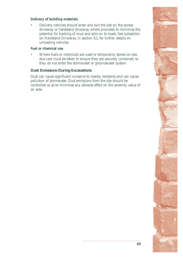### **Delivery of building materials**

Delivery vehicles should enter and exit the site on the access driveway or hardstand driveway where provided, to minimise the potential for tracking of mud and soils on to roads. See subsection on Hardstand Driveway, in section 6.1, for further details on unloading vehicles.

#### **Fuel or chemical use**

Where fuels or chemicals are used or temporarily stored on-site, due care must be taken to ensure they are securely contained, so they do not enter the stormwater or groundwater system.

### **Dust Emissions During Excavations**

Dust can cause significant nuisance to nearby residents and can cause pollution of stormwater. Dust emissions from the site should be controlled so as to minimise any adverse effect on the amenity value of an area.

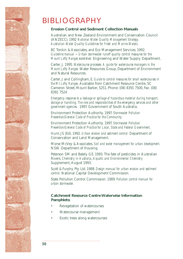## <span id="page-55-0"></span>BIBLIOGRAPHY

## **Erosion Control and Sediment Collection Manuals**

Australian and New Zealand Environment and Conservation Council (ANZECC). 1992 *National Water Quality Management Strategy. Australian Water Quality Guidelines for Fresh and Marine Waters.* 

BC Tonkin & Associates, and Eco Management Services. 1992. *Guideline manual — Urban stormwater runoff quality control measures for the Mount Lofty Ranges watershed.* Engineering and Water Supply Department.

Carter, J. 1995. *Watercourse processes: A guide for watercourse managers in the Mount Lofty Ranges.* Water Resources Group, Department of Environment and Natural Resources.

Carter, J and Collingham, E. *Guide to control measures for small watercourses in the Mt Lofty Ranges.* Available from Catchment Resource Centre, 5C Cameron Street, Mount Barker, 5251, Phone: (08) 8391 7500, Fax: (08) 8391 7524

*Emergency response to a leakage or spillage of hazardous material during transport, storage or handling. The role and responsibilities of the emergency services and other government agencies.* 1997. Government of South Australia.

Environment Protection Authority. 1997. *Stormwater Pollution Prevention/General Code of Practice for the Community.* 

Environment Protection Authority. 1997. *Stormwater Pollution Prevention/General Code of Practice for Local, State and Federal Government.* 

Hunt, JS (Ed). 1992. *Urban erosion and sediment control.* Department of Conservation and Land Management.

Morse McVey & Associates. *Soil and water management for urban development.*  NSW Department of Housing.

Peterson SM and Bately GE. 1993. The fate of pesticides in Australian Rivers. *Chemistry in Australia*, *Aquatic and Environmental Chemistry*  Supplement, August 1993.

Scott & Furphy Pty Ltd. 1988. *Design manual for urban erosion and sediment control.* National Capital Development Commission.

State Pollution Control Commission. 1989. *Pollution control manual for urban stormwater.* 

## **Catchment Resource Centre Waterwise Information Pamphlets:**

- Revegetation of watercourses
- Watercourse management
- Exotic trees along watercourses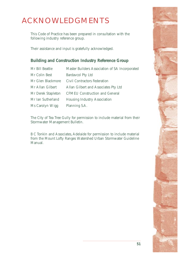## <span id="page-56-0"></span>ACKNOWLEDGMENTS

This Code of Practice has been prepared in consultation with the following industry reference group.

Their assistance and input is gratefully acknowledged.

## **Building and Construction Industry Reference Group**

| Mr Bill Beattie    | Master Builders Association of SA Incorporated |
|--------------------|------------------------------------------------|
| Mr Colin Best      | <b>Bardavcol Pty Ltd</b>                       |
| Mr Glen Blackmore  | <b>Civil Contractors Federation</b>            |
| Mr Allan Gilbert   | Allan Gilbert and Associates Pty Ltd           |
| Mr Derek Stapleton | <b>CFMEU Construction and General</b>          |
| Mr Ian Sutherland  | <b>Housing Industry Association</b>            |
| Ms Carolyn Wigg    | Planning S.A.                                  |

The City of Tea Tree Gully for permission to include material from their Stormwater Management Bulletin.

B C Tonkin and Associates, Adelaide for permission to include material from the Mount Lofty Ranges Watershed Urban Stormwater Guideline Manual.

**51**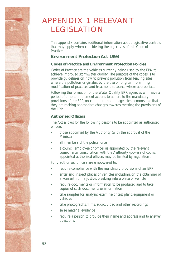## <span id="page-57-0"></span>APPENDIX 1 RELEVANT LEGISLATION

This appendix contains additional information about legislative controls that may apply when considering the objectives of this Code of Practice.

## **Environment Protection Act 1993**

### **Codes of Practice and Environment Protection Policies**

Codes of Practice are the vehicles currently being used by the EPA to achieve improved stormwater quality. The purpose of the codes is to provide guidelines on how to prevent pollution from leaving sites where the pollution originates, by the use of long term planning. modification of practices and treatment at source where appropriate.

Following the formation of the Water Quality EPP, agencies will have a period of time to implement actions to adhere to the mandatory provisions of the EPP, on condition that the agencies demonstrate that they are making appropriate changes towards meeting the provisions of the EPP.

## **Authorised Officers**

The Act allows for the following persons to be appointed as authorised officers:

- those appointed by the Authority (with the approval of the Minister)
- all members of the police force
- a council employee or officer as appointed by the relevant council after consultation with the Authority (powers of council appointed authorised officers may be limited by regulation).

Fully authorised officers are empowered to:

- require compliance with the mandatory provisions of an EPP
- enter and inspect places or vehicles including, on the obtaining of a warrant from a justice, breaking into a place or vehicle
- require documents or information to be produced and to take copies of such documents or information
- take samples for analysis, examine or test plant, equipment or vehicles
- take photographs, films, audio, video and other recordings
- seize material evidence
- require a person to provide their name and address and to answer questions.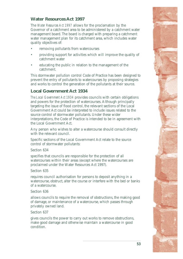## **Water Resources Act 1997**

The *Water Resources Act 1997* allows for the proclamation by the Governor of a catchment area to be administered by a catchment water management board. The board is charged with preparing a catchment water management plan for its catchment area, which includes water quality objectives of:

- removing pollutants from watercourses
- providing support for activities which will improve the quality of catchment water
- educating the public in relation to the management of the catchment.

This stormwater pollution control Code of Practice has been designed to prevent the entry of pollutants to watercourses by proposing strategies and works to control the generation of the pollutants at their source.

## **Local Government Act 1934**

*The Local Government Act 1934* provides councils with certain obligations and powers for the protection of watercourses. Although principally targeting the issue of flood control, the relevant sections of the Local Government Act could be interpreted to include issues related to the source control of stormwater pollutants. Under these wider interpretations, the Code of Practice is intended to be in agreement with the Local Government Act.

Any person who wishes to alter a watercourse should consult directly with the relevant council.

Specific sections of the Local Government Act relate to the source control of stormwater pollutants:

## Section 634

specifies that councils are responsible for the protection of all watercourses within their areas (except where the watercourses are proclaimed under the Water Resources Act 1997).

Section 635

requires council authorisation for persons to deposit anything in a watercourse, obstruct, alter the course or interfere with the bed or banks of a watercourse.

#### Section 636

allows councils to require the removal of obstructions, the making good of damage, or maintenance of a watercourse, which passes through privately owned land.

Section 637

gives councils the power to carry out works to remove obstructions, make good damage and otherwise maintain a watercourse in good condition.

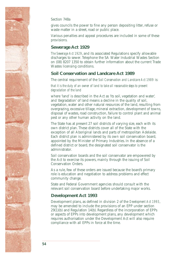

#### Section 748a

gives councils the power to fine any person depositing litter, refuse or waste matter in a street, road or public place.

Various penalties and appeal procedures are included in some of these provisions.

## **Sewerage Act 1929**

*The Sewerage Act 1929*, and its associated Regulations specify allowable discharges to sewer. Telephone the SA Water Industrial Wastes Section on (08) 8207 1350 to obtain further information about the current Trade Wastes licensing conditions.

## **Soil Conservation and Landcare Act 1989**

The central requirement of the *Soil Conservation and Landcare Act 1989* is:

#### *that it is the duty of an owner of land to take all reasonable steps to prevent degradation of the land*

where 'land*'* is described in the Act as 'its soil, vegetation and water', and 'degradation' of land means a decline in the quality of soil, vegetation, water and other natural resources of the land, resulting from overgrazing, excessive tillage, mineral extraction, development of towns, disposal of wastes, road construction, failure to control plant and animal pest or any other human activity on the land.

The State has at present 27 soil districts of varying size, each with its own district plan. These districts cover all of the State with the exception of all Aboriginal lands and parts of metropolitan Adelaide. Each district plan is administered by its own soil conservation board, appointed by the Minister of Primary Industries. In the absence of a defined district or board, the designated soil conservator is the administrator.

Soil conservation boards and the soil conservator are empowered by the Act to exercise its powers, mainly through the issuing of Soil Conservation Orders.

As a rule, few of these orders are issued because the board's primary role is education and negotiation to address problems and effect community change.

State and Federal Government agencies should consult with the relevant soil conservation board before undertaking major works.

## **Development Act 1993**

Development plans, as defined in division 2 of the *Development Act 1993*, may be amended to include the provisions of an EPP under section 29(1)(b) and Regulation 14(b). Regardless of the incorporation of EPPs or aspects of EPPs into development plans, any development which requires authorisation under the Development Act will also require compliance with all EPPs in force at the time.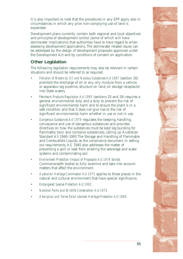It is also important to note that the procedures in any EPP apply also in circumstances in which any prior non-complying use of land is expanded.

Development plans currently contain both regional and local objectives and principles of development control (some of which will have stormwater implications) that authorities have to have regard to when assessing development applications. The stormwater related issues can be addressed by the design of development proposals approved under the Development Act and by conditions of consent on application.

## **Other Legislation**

The following legislation requirements may also be relevant in certain situations and should be referred to as required.

- *Pollution of Waters by Oil and Noxious Substances Act 1987 (section 26)* prohibits the discharge of oil or any oily mixture from a vehicle or apparatus (eg pipeline, structure on land, oil storage receptacle) into State waters.
- *Petroleum Products Regulation Act 1995* (sections 25 and 26) requires a general environmental duty and a duty to prevent the risk of significant environmental harm and to ensure the plant is in a safe condition and that it does not give rise to the risk of significant environmental harm whether in use or not in use.
- Dangerous Substances Act 1979 regulates the keeping, handling, conveyance and use of dangerous substances and provides directives on how the substances must be kept (eg bunding for flammable, toxic and corrosive substances), calling up Australian Standard AS 1940–1993 The Storage and Handling of Flammable and Combustible Liquids, as the compliance document. In setting out requirements, AS 1940 also addresses the matter of preventing a spill or leak from entering the sewerage and water systems and contaminating soil.
- *Environment Protection (Impact of Proposals) Act 1974 binds* Commonwealth bodies to fully examine and take into account matters that affect the environment.
- Australian Heritage Commission Act 1975 applies to those places in the natural and cultural environment that have special significance.
- *Endangered Species Protection Act 1992.*
- *National Parks and Wildlife Conservation Act 1975.*
- Aboriginal and Torres Strait Islander Heritage Protection Act 1984.